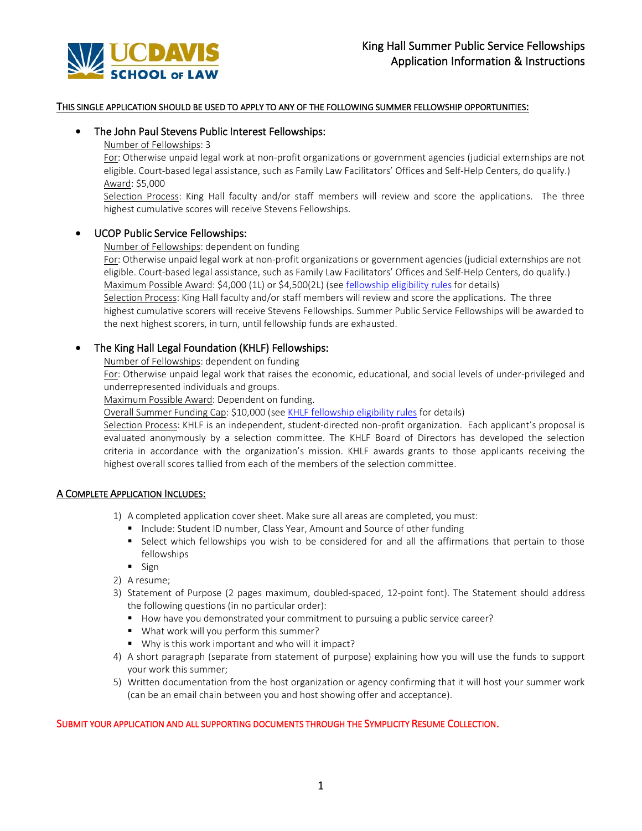

## THIS SINGLE APPLICATION SHOULD BE USED TO APPLY TO ANY OF THE FOLLOWING SUMMER FELLOWSHIP OPPORTUNITIES:

# • The John Paul Stevens Public Interest Fellowships:

#### Number of Fellowships: 3

For: Otherwise unpaid legal work at non-profit organizations or government agencies (judicial externships are not eligible. Court-based legal assistance, such as Family Law Facilitators' Offices and Self-Help Centers, do qualify.) Award: \$5,000

Selection Process: King Hall faculty and/or staff members will review and score the applications. The three highest cumulative scores will receive Stevens Fellowships.

## • UCOP Public Service Fellowships:

#### Number of Fellowships: dependent on funding

For: Otherwise unpaid legal work at non-profit organizations or government agencies (judicial externships are not eligible. Court-based legal assistance, such as Family Law Facilitators' Offices and Self-Help Centers, do qualify.) Maximum Possible Award: \$4,000 (1L) or \$4,500(2L) (see fellowship eligibility rules for details)

Selection Process: King Hall faculty and/or staff members will review and score the applications. The three highest cumulative scorers will receive Stevens Fellowships. Summer Public Service Fellowships will be awarded to the next highest scorers, in turn, until fellowship funds are exhausted.

# • The King Hall Legal Foundation (KHLF) Fellowships:

Number of Fellowships: dependent on funding

For: Otherwise unpaid legal work that raises the economic, educational, and social levels of under-privileged and underrepresented individuals and groups.

Maximum Possible Award: Dependent on funding.

Overall Summer Funding Cap: \$10,000 (see KHLF fellowship eligibility rules for details)

Selection Process: KHLF is an independent, student-directed non-profit organization. Each applicant's proposal is evaluated anonymously by a selection committee. The KHLF Board of Directors has developed the selection criteria in accordance with the organization's mission. KHLF awards grants to those applicants receiving the highest overall scores tallied from each of the members of the selection committee.

#### A COMPLETE APPLICATION INCLUDES:

- 1) A completed application cover sheet. Make sure all areas are completed, you must:
	- Include: Student ID number, Class Year, Amount and Source of other funding
	- Select which fellowships you wish to be considered for and all the affirmations that pertain to those fellowships
	- $\blacksquare$  Sign
- 2) A resume;
- 3) Statement of Purpose (2 pages maximum, doubled-spaced, 12-point font). The Statement should address the following questions (in no particular order):
	- How have you demonstrated your commitment to pursuing a public service career?
	- What work will you perform this summer?
	- Why is this work important and who will it impact?
- 4) A short paragraph (separate from statement of purpose) explaining how you will use the funds to support your work this summer;
- 5) Written documentation from the host organization or agency confirming that it will host your summer work (can be an email chain between you and host showing offer and acceptance).

### SUBMIT YOUR APPLICATION AND ALL SUPPORTING DOCUMENTS THROUGH THE SYMPLICITY RESUME COLLECTION.